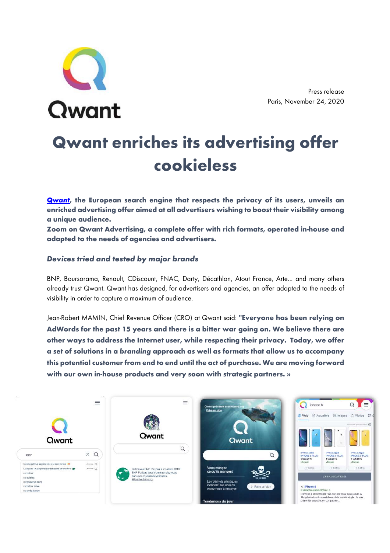

Press release Paris, November 24, 2020

# **Qwant enriches its advertising offer cookieless**

*Qwant***, the European search engine that respects the privacy of its users, unveils an enriched advertising offer aimed at all advertisers wishing to boost their visibility among a unique audience.** 

**Zoom on Qwant Advertising, a complete offer with rich formats, operated in-house and adapted to the needs of agencies and advertisers.**

## *Devices tried and tested by major brands*

BNP, Boursorama, Renault, CDiscount, FNAC, Darty, Décathlon, Atout France, Arte... and many others already trust Qwant. Qwant has designed, for advertisers and agencies, an offer adapted to the needs of visibility in order to capture a maximum of audience.

Jean-Robert MAMIN, Chief Revenue Officer (CRO) at Qwant said: **"Everyone has been relying on AdWords for the past 15 years and there is a bitter war going on. We believe there are other ways to address the Internet user, while respecting their privacy. Today, we offer a set of solutions in a** *branding* **approach as well as formats that allow us to accompany this potential customer from end to end until the act of purchase. We are moving forward with our own in-house products and very soon with strategic partners. »**

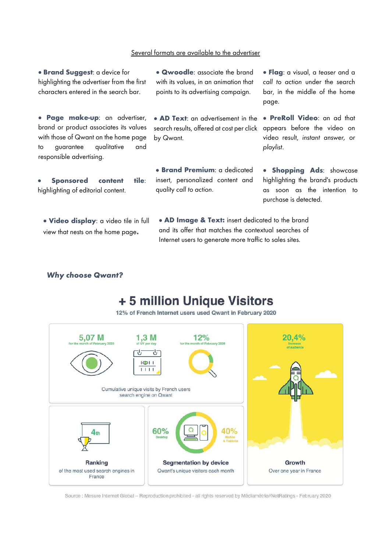### Several formats are available to the advertiser

• **Brand Suggest**: a device for highlighting the advertiser from the first characters entered in the search bar.

. • **Page make-up**: an advertiser, brand or product associates its values with those of Qwant on the home page to guarantee qualitative and responsible advertising.

• **Sponsored content tile**: highlighting of editorial content.

• **Video display**: a video tile in full view that nests on the home page**.**

• **Qwoodle**: associate the brand with its values, in an animation that points to its advertising campaign.

search results, offered at cost per click appears before the video on • **AD Text**: an advertisement in the by Qwant.

• **Brand Premium**: a dedicated insert, personalized content and quality *call to action*.

• **AD Image & Text:** insert dedicated to the brand and its offer that matches the contextual searches of Internet users to generate more traffic to sales sites.

• **Flag**: a visual, a *teaser* and a *call to action* under the search bar, in the middle of the home page.

• **PreRoll Video**: an ad that video result, *instant answer,* or *playlist*.

**• Shopping Ads:** showcase highlighting the brand's products as soon as the intention to purchase is detected.

### *Why choose Qwant?*

# + 5 million Unique Visitors

12% of French Internet users used Qwant in February 2020



Source : Mesure Internet Giobal - Reproduction prohibited - all rights reserved by Médiamétrie//NetRatings - February 2020